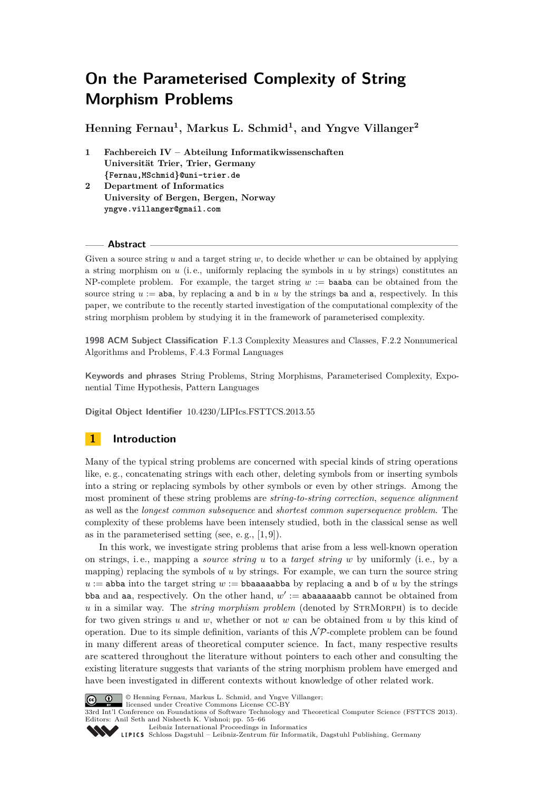**Henning Fernau<sup>1</sup> , Markus L. Schmid<sup>1</sup> , and Yngve Villanger<sup>2</sup>**

- **1 Fachbereich IV Abteilung Informatikwissenschaften Universität Trier, Trier, Germany {Fernau,MSchmid}@uni-trier.de**
- **2 Department of Informatics University of Bergen, Bergen, Norway yngve.villanger@gmail.com**

## **Abstract**

Given a source string *u* and a target string *w*, to decide whether *w* can be obtained by applying a string morphism on *u* (i. e., uniformly replacing the symbols in *u* by strings) constitutes an NP-complete problem. For example, the target string  $w :=$  baaba can be obtained from the source string  $u := aba$ , by replacing a and b in  $u$  by the strings ba and a, respectively. In this paper, we contribute to the recently started investigation of the computational complexity of the string morphism problem by studying it in the framework of parameterised complexity.

**1998 ACM Subject Classification** F.1.3 Complexity Measures and Classes, F.2.2 Nonnumerical Algorithms and Problems, F.4.3 Formal Languages

**Keywords and phrases** String Problems, String Morphisms, Parameterised Complexity, Exponential Time Hypothesis, Pattern Languages

**Digital Object Identifier** [10.4230/LIPIcs.FSTTCS.2013.55](http://dx.doi.org/10.4230/LIPIcs.FSTTCS.2013.55)

## <span id="page-0-0"></span>**1 Introduction**

Many of the typical string problems are concerned with special kinds of string operations like, e. g., concatenating strings with each other, deleting symbols from or inserting symbols into a string or replacing symbols by other symbols or even by other strings. Among the most prominent of these string problems are *string-to-string correction*, *sequence alignment* as well as the *longest common subsequence* and *shortest common supersequence problem*. The complexity of these problems have been intensely studied, both in the classical sense as well as in the parameterised setting (see, e.g.,  $[1, 9]$  $[1, 9]$ ).

In this work, we investigate string problems that arise from a less well-known operation on strings, i. e., mapping a *source string u* to a *target string w* by uniformly (i. e., by a mapping) replacing the symbols of *u* by strings. For example, we can turn the source string  $u :=$  abba into the target string  $w :=$  bbaasaabba by replacing a and b of  $u$  by the strings bba and aa, respectively. On the other hand,  $w' := a$ baaaaaabb cannot be obtained from *u* in a similar way. The *string morphism problem* (denoted by STRMORPH) is to decide for two given strings *u* and *w*, whether or not *w* can be obtained from *u* by this kind of operation. Due to its simple definition, variants of this  $\mathcal{NP}$ -complete problem can be found in many different areas of theoretical computer science. In fact, many respective results are scattered throughout the literature without pointers to each other and consulting the existing literature suggests that variants of the string morphism problem have emerged and have been investigated in different contexts without knowledge of other related work.



© Henning Fernau, Markus L. Schmid, and Yngve Villanger;

licensed under Creative Commons License CC-BY 33rd Int'l Conference on Foundations of Software Technology and Theoretical Computer Science (FSTTCS 2013). Editors: Anil Seth and Nisheeth K. Vishnoi; pp. 55[–66](#page-11-1)

[Leibniz International Proceedings in Informatics](http://www.dagstuhl.de/lipics/)

[Schloss Dagstuhl – Leibniz-Zentrum für Informatik, Dagstuhl Publishing, Germany](http://www.dagstuhl.de)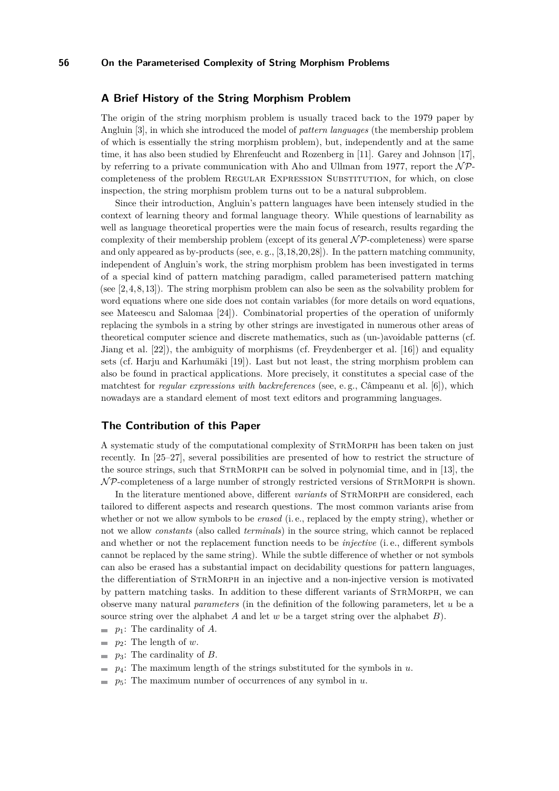## **A Brief History of the String Morphism Problem**

The origin of the string morphism problem is usually traced back to the 1979 paper by Angluin [\[3\]](#page-10-1), in which she introduced the model of *pattern languages* (the membership problem of which is essentially the string morphism problem), but, independently and at the same time, it has also been studied by Ehrenfeucht and Rozenberg in [\[11\]](#page-11-2). Garey and Johnson [\[17\]](#page-11-3), by referring to a private communication with Aho and Ullman from 1977, report the  $\mathcal{NP}$ completeness of the problem Regular Expression Substitution, for which, on close inspection, the string morphism problem turns out to be a natural subproblem.

Since their introduction, Angluin's pattern languages have been intensely studied in the context of learning theory and formal language theory. While questions of learnability as well as language theoretical properties were the main focus of research, results regarding the complexity of their membership problem (except of its general  $N\mathcal{P}$ -completeness) were sparse and only appeared as by-products (see, e. g., [\[3,](#page-10-1)[18,](#page-11-4)[20,](#page-11-5)[28\]](#page-11-6)). In the pattern matching community, independent of Angluin's work, the string morphism problem has been investigated in terms of a special kind of pattern matching paradigm, called parameterised pattern matching (see [\[2,](#page-10-2) [4,](#page-10-3) [8,](#page-10-4) [13\]](#page-11-7)). The string morphism problem can also be seen as the solvability problem for word equations where one side does not contain variables (for more details on word equations, see Mateescu and Salomaa [\[24\]](#page-11-8)). Combinatorial properties of the operation of uniformly replacing the symbols in a string by other strings are investigated in numerous other areas of theoretical computer science and discrete mathematics, such as (un-)avoidable patterns (cf. Jiang et al. [\[22\]](#page-11-9)), the ambiguity of morphisms (cf. Freydenberger et al. [\[16\]](#page-11-10)) and equality sets (cf. Harju and Karhumäki [\[19\]](#page-11-11)). Last but not least, the string morphism problem can also be found in practical applications. More precisely, it constitutes a special case of the matchtest for *regular expressions with backreferences* (see, e. g., Câmpeanu et al. [\[6\]](#page-10-5)), which nowadays are a standard element of most text editors and programming languages.

### **The Contribution of this Paper**

A systematic study of the computational complexity of StrMorph has been taken on just recently. In [\[25](#page-11-12)[–27\]](#page-11-13), several possibilities are presented of how to restrict the structure of the source strings, such that StrMorph can be solved in polynomial time, and in [\[13\]](#page-11-7), the  $N$ P-completeness of a large number of strongly restricted versions of STRMORPH is shown.

In the literature mentioned above, different *variants* of STRMORPH are considered, each tailored to different aspects and research questions. The most common variants arise from whether or not we allow symbols to be *erased* (i. e., replaced by the empty string), whether or not we allow *constants* (also called *terminals*) in the source string, which cannot be replaced and whether or not the replacement function needs to be *injective* (i. e., different symbols cannot be replaced by the same string). While the subtle difference of whether or not symbols can also be erased has a substantial impact on decidability questions for pattern languages, the differentiation of StrMorph in an injective and a non-injective version is motivated by pattern matching tasks. In addition to these different variants of StrMorph, we can observe many natural *parameters* (in the definition of the following parameters, let *u* be a source string over the alphabet *A* and let *w* be a target string over the alphabet *B*).

- $\blacksquare$  *p*<sub>1</sub>: The cardinality of *A*.
- *p*2: The length of *w*.
- *p*3: The cardinality of *B*.
- *p*4: The maximum length of the strings substituted for the symbols in *u*.
- *p*5: The maximum number of occurrences of any symbol in *u*. $\blacksquare$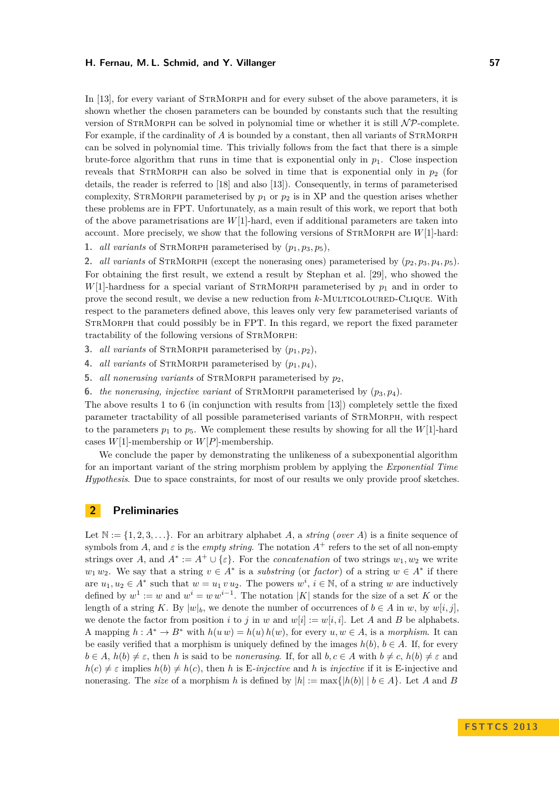In [\[13\]](#page-11-7), for every variant of STRMORPH and for every subset of the above parameters, it is shown whether the chosen parameters can be bounded by constants such that the resulting version of STRMORPH can be solved in polynomial time or whether it is still  $N\mathcal{P}$ -complete. For example, if the cardinality of A is bounded by a constant, then all variants of STRMORPH can be solved in polynomial time. This trivially follows from the fact that there is a simple brute-force algorithm that runs in time that is exponential only in  $p_1$ . Close inspection reveals that STRMORPH can also be solved in time that is exponential only in  $p_2$  (for details, the reader is referred to [\[18\]](#page-11-4) and also [\[13\]](#page-11-7)). Consequently, in terms of parameterised complexity, STRMORPH parameterised by  $p_1$  or  $p_2$  is in XP and the question arises whether these problems are in FPT. Unfortunately, as a main result of this work, we report that both of the above parametrisations are *W*[1]-hard, even if additional parameters are taken into account. More precisely, we show that the following versions of StrMorph are *W*[1]-hard:

**1.** *all variants* of STRMORPH parameterised by  $(p_1, p_3, p_5)$ ,

**2.** *all variants* of STRMORPH (except the nonerasing ones) parameterised by  $(p_2, p_3, p_4, p_5)$ . For obtaining the first result, we extend a result by Stephan et al. [\[29\]](#page-11-14), who showed the  $W[1]$ -hardness for a special variant of STRMORPH parameterised by  $p_1$  and in order to prove the second result, we devise a new reduction from *k*-MULTICOLOURED-CLIQUE. With respect to the parameters defined above, this leaves only very few parameterised variants of StrMorph that could possibly be in FPT. In this regard, we report the fixed parameter tractability of the following versions of STRMORPH:

- **3.** *all variants* of STRMORPH parameterised by  $(p_1, p_2)$ ,
- **4.** *all variants* of STRMORPH parameterised by  $(p_1, p_4)$ .
- **5.** *all nonerasing variants* of StrMorph parameterised by *p*2,
- **6.** *the nonerasing, injective variant* of STRMORPH parameterised by  $(p_3, p_4)$ .

The above results 1 to 6 (in conjunction with results from [\[13\]](#page-11-7)) completely settle the fixed parameter tractability of all possible parameterised variants of StrMorph, with respect to the parameters  $p_1$  to  $p_5$ . We complement these results by showing for all the *W*[1]-hard cases  $W[1]$ -membership or  $W[P]$ -membership.

We conclude the paper by demonstrating the unlikeness of a subexponential algorithm for an important variant of the string morphism problem by applying the *Exponential Time Hypothesis*. Due to space constraints, for most of our results we only provide proof sketches.

## **2 Preliminaries**

Let  $\mathbb{N} := \{1, 2, 3, \ldots\}$ . For an arbitrary alphabet *A*, a *string* (*over A*) is a finite sequence of symbols from *A*, and  $\varepsilon$  is the *empty string*. The notation  $A^+$  refers to the set of all non-empty strings over *A*, and  $A^* := A^+ \cup \{\varepsilon\}$ . For the *concatenation* of two strings  $w_1, w_2$  we write  $w_1 w_2$ . We say that a string  $v \in A^*$  is a *substring* (or *factor*) of a string  $w \in A^*$  if there are  $u_1, u_2 \in A^*$  such that  $w = u_1 v u_2$ . The powers  $w^i, i \in \mathbb{N}$ , of a string *w* are inductively defined by  $w^1 := w$  and  $w^i = w w^{i-1}$ . The notation |K| stands for the size of a set K or the length of a string *K*. By  $|w|_b$ , we denote the number of occurrences of  $b \in A$  in *w*, by  $w[i, j]$ . we denote the factor from position *i* to *j* in *w* and  $w[i] := w[i, i]$ . Let *A* and *B* be alphabets. A mapping  $h : A^* \to B^*$  with  $h(u w) = h(u) h(w)$ , for every  $u, w \in A$ , is a morphism. It can be easily verified that a morphism is uniquely defined by the images  $h(b)$ ,  $b \in A$ . If, for every  $b \in A$ ,  $h(b) \neq \varepsilon$ , then *h* is said to be *nonerasing*. If, for all  $b, c \in A$  with  $b \neq c$ ,  $h(b) \neq \varepsilon$  and  $h(c) \neq \varepsilon$  implies  $h(b) \neq h(c)$ , then *h* is E-injective and *h* is *injective* if it is E-injective and nonerasing. The *size* of a morphism *h* is defined by  $|h| := max\{|h(b)| | b \in A\}$ . Let *A* and *B*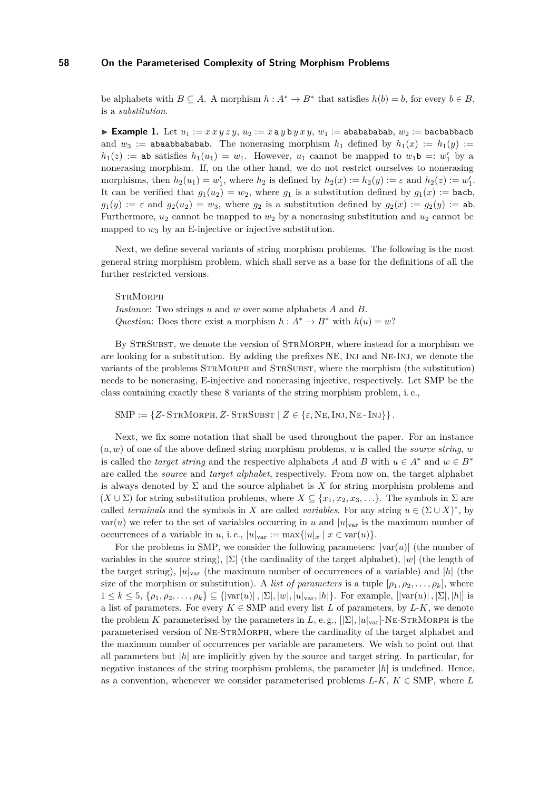be alphabets with  $B \subseteq A$ . A morphism  $h : A^* \to B^*$  that satisfies  $h(b) = b$ , for every  $b \in B$ , is a *substitution*.

**Example 1.** Let  $u_1 := x \cdot x \cdot y \cdot z \cdot y$ ,  $u_2 := x \cdot a \cdot y \cdot b \cdot y \cdot x \cdot y$ ,  $w_1 := ababababab$ ,  $w_2 := bcababba$ cb and  $w_3 :=$  abaabbabababa. The nonerasing morphism  $h_1$  defined by  $h_1(x) := h_1(y)$  :=  $h_1(z) :=$  ab satisfies  $h_1(u_1) = w_1$ . However,  $u_1$  cannot be mapped to  $w_1$ b =:  $w'_1$  by a nonerasing morphism. If, on the other hand, we do not restrict ourselves to nonerasing morphisms, then  $h_2(u_1) = w'_1$ , where  $h_2$  is defined by  $h_2(x) := h_2(y) := \varepsilon$  and  $h_2(z) := w'_1$ . It can be verified that  $g_1(u_2) = w_2$ , where  $g_1$  is a substitution defined by  $g_1(x) := \text{back}$ ,  $g_1(y) := \varepsilon$  and  $g_2(u_2) = w_3$ , where  $g_2$  is a substitution defined by  $g_2(x) := g_2(y) := ab$ . Furthermore,  $u_2$  cannot be mapped to  $w_2$  by a nonerasing substitution and  $u_2$  cannot be mapped to  $w_3$  by an E-injective or injective substitution.

Next, we define several variants of string morphism problems. The following is the most general string morphism problem, which shall serve as a base for the definitions of all the further restricted versions.

**STRMORPH** 

*Instance*: Two strings *u* and *w* over some alphabets *A* and *B*. *Question*: Does there exist a morphism  $h: A^* \to B^*$  with  $h(u) = w$ ?

By StrSubst, we denote the version of StrMorph, where instead for a morphism we are looking for a substitution. By adding the prefixes NE, Inj and Ne-Inj, we denote the variants of the problems StrMorph and StrSubst, where the morphism (the substitution) needs to be nonerasing, E-injective and nonerasing injective, respectively. Let SMP be the class containing exactly these 8 variants of the string morphism problem, i. e.,

 $SMP := \{Z\text{-}STRMORPH, Z\text{-}STRSUBST \mid Z \in \{\varepsilon, NE, INJ, NE\text{-}INJ\}\}.$ 

Next, we fix some notation that shall be used throughout the paper. For an instance  $(u, w)$  of one of the above defined string morphism problems, *u* is called the *source string*, *w* is called the *target string* and the respective alphabets *A* and *B* with  $u \in A^*$  and  $w \in B^*$ are called the *source* and *target alphabet*, respectively. From now on, the target alphabet is always denoted by  $\Sigma$  and the source alphabet is  $X$  for string morphism problems and  $(X \cup \Sigma)$  for string substitution problems, where  $X \subseteq \{x_1, x_2, x_3, \ldots\}$ . The symbols in  $\Sigma$  are called *terminals* and the symbols in *X* are called *variables*. For any string  $u \in (\Sigma \cup X)^*$ , by var(*u*) we refer to the set of variables occurring in *u* and  $|u|_{var}$  is the maximum number of occurrences of a variable in *u*, i.e.,  $|u|_{var} := max{ |u|_x | x \in var(u) }$ .

For the problems in SMP, we consider the following parameters:  $|var(u)|$  (the number of variables in the source string), |Σ| (the cardinality of the target alphabet), |*w*| (the length of the target string),  $|u|_{var}$  (the maximum number of occurrences of a variable) and  $|h|$  (the size of the morphism or substitution). A *list of parameters* is a tuple  $[\rho_1, \rho_2, \ldots, \rho_k]$ , where  $1 \leq k \leq 5, \{\rho_1, \rho_2, \ldots, \rho_k\} \subseteq {\vert \operatorname{var}(u) \vert, \vert \Sigma \vert, \vert u \vert, \vert u \vert_{\operatorname{var}}, \vert h \vert}.$  For example,  ${\vert \operatorname{var}(u) \vert, \vert \Sigma \vert, \vert h \vert}$  is a list of parameters. For every  $K \in \text{SMP}$  and every list L of parameters, by L-K, we denote the problem *K* parameterised by the parameters in *L*, e.g.,  $[|\Sigma|, |u|_{var}]\text{-}\text{NE-STRMORPH}$  is the parameterised version of Ne-StrMorph, where the cardinality of the target alphabet and the maximum number of occurrences per variable are parameters. We wish to point out that all parameters but |*h*| are implicitly given by the source and target string. In particular, for negative instances of the string morphism problems, the parameter |*h*| is undefined. Hence, as a convention, whenever we consider parameterised problems  $L-K$ ,  $K \in$  SMP, where  $L$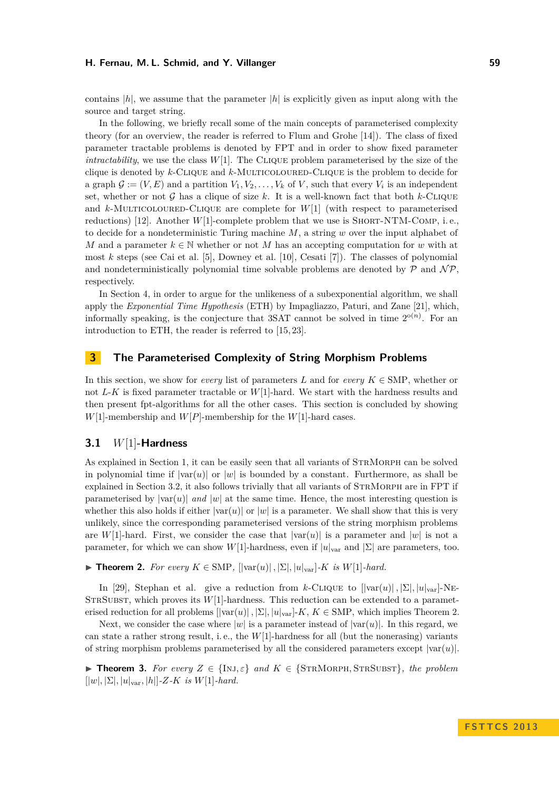contains  $|h|$ , we assume that the parameter  $|h|$  is explicitly given as input along with the source and target string.

In the following, we briefly recall some of the main concepts of parameterised complexity theory (for an overview, the reader is referred to Flum and Grohe [\[14\]](#page-11-15)). The class of fixed parameter tractable problems is denoted by FPT and in order to show fixed parameter *intractability*, we use the class  $W[1]$ . The CLIQUE problem parameterised by the size of the clique is denoted by *k*-Clique and *k*-Multicoloured-Clique is the problem to decide for a graph  $\mathcal{G} := (V, E)$  and a partition  $V_1, V_2, \ldots, V_k$  of V, such that every  $V_i$  is an independent set, whether or not  $\mathcal G$  has a clique of size  $k$ . It is a well-known fact that both  $k$ -CLIQUE and  $k$ -MULTICOLOURED-CLIQUE are complete for  $W[1]$  (with respect to parameterised reductions) [\[12\]](#page-11-16). Another *W*[1]-complete problem that we use is SHORT-NTM-COMP, i.e., to decide for a nondeterministic Turing machine *M*, a string *w* over the input alphabet of *M* and a parameter  $k \in \mathbb{N}$  whether or not *M* has an accepting computation for *w* with at most *k* steps (see Cai et al. [\[5\]](#page-10-6), Downey et al. [\[10\]](#page-11-17), Cesati [\[7\]](#page-10-7)). The classes of polynomial and nondeterministically polynomial time solvable problems are denoted by  $P$  and  $\mathcal{NP}$ . respectively.

In Section [4,](#page-9-0) in order to argue for the unlikeness of a subexponential algorithm, we shall apply the *Exponential Time Hypothesis* (ETH) by Impagliazzo, Paturi, and Zane [\[21\]](#page-11-18), which, informally speaking, is the conjecture that  $3SAT$  cannot be solved in time  $2^{o(n)}$ . For an introduction to ETH, the reader is referred to [\[15,](#page-11-19) [23\]](#page-11-20).

## **3 The Parameterised Complexity of String Morphism Problems**

In this section, we show for *every* list of parameters *L* and for *every*  $K \in$  SMP, whether or not *L*-*K* is fixed parameter tractable or *W*[1]-hard. We start with the hardness results and then present fpt-algorithms for all the other cases. This section is concluded by showing  $W[1]$ -membership and  $W[P]$ -membership for the  $W[1]$ -hard cases.

## <span id="page-4-2"></span>**3.1** *W*[1]**-Hardness**

As explained in Section [1,](#page-0-0) it can be easily seen that all variants of StrMorph can be solved in polynomial time if  $|\text{var}(u)|$  or  $|w|$  is bounded by a constant. Furthermore, as shall be explained in Section [3.2,](#page-6-0) it also follows trivially that all variants of STRMORPH are in FPT if parameterised by  $|var(u)|$  *and*  $|w|$  at the same time. Hence, the most interesting question is whether this also holds if either  $|var(u)|$  or  $|w|$  is a parameter. We shall show that this is very unlikely, since the corresponding parameterised versions of the string morphism problems are *W*[1]-hard. First, we consider the case that  $|var(u)|$  is a parameter and  $|w|$  is not a parameter, for which we can show *W*[1]-hardness, even if  $|u|_{var}$  and  $|\Sigma|$  are parameters, too.

<span id="page-4-0"></span>▶ **Theorem 2.** For every  $K \in$  SMP,  $[|\text{var}(u)|, |\Sigma|, |u|_{\text{var}}]$ -*K is W*[1]-*hard.* 

In [\[29\]](#page-11-14), Stephan et al. give a reduction from *k*-CLIQUE to  $[|\text{var}(u)|, |\Sigma|, |u|_{\text{var}}]$ -NE-STRSUBST, which proves its  $W[1]$ -hardness. This reduction can be extended to a parameterised reduction for all problems  $[|var(u)|, |\Sigma|, |u|_{var}]\text{-}K, K \in \text{SMP}$ , which implies Theorem [2.](#page-4-0)

Next, we consider the case where  $|w|$  is a parameter instead of  $|var(u)|$ . In this regard, we can state a rather strong result, i. e., the *W*[1]-hardness for all (but the nonerasing) variants of string morphism problems parameterised by all the considered parameters except  $|var(u)|$ .

<span id="page-4-1"></span>**► Theorem 3.** For every  $Z \in \{\text{INJ}, \varepsilon\}$  and  $K \in \{\text{STRMORPH}, \text{STRSUBST}\}\$ , the problem  $[|w|, |\Sigma|, |u|_{\text{var}}, |h|]$ -Z-K *is*  $W[1]$ -hard.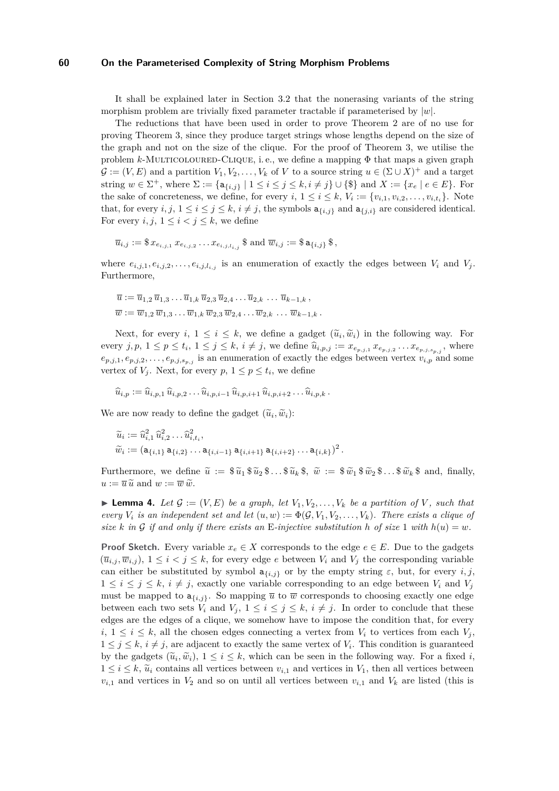It shall be explained later in Section [3.2](#page-6-0) that the nonerasing variants of the string morphism problem are trivially fixed parameter tractable if parameterised by |*w*|.

The reductions that have been used in order to prove Theorem [2](#page-4-0) are of no use for proving Theorem [3,](#page-4-1) since they produce target strings whose lengths depend on the size of the graph and not on the size of the clique. For the proof of Theorem [3,](#page-4-1) we utilise the problem  $k$ -MULTICOLOURED-CLIQUE, i.e., we define a mapping  $\Phi$  that maps a given graph  $\mathcal{G} := (V, E)$  and a partition  $V_1, V_2, \ldots, V_k$  of V to a source string  $u \in (\Sigma \cup X)^+$  and a target string  $w \in \Sigma^+$ , where  $\Sigma := \{a_{\{i,j\}} \mid 1 \le i \le j \le k, i \ne j\} \cup \{\$\}$  and  $X := \{x_e \mid e \in E\}$ . For the sake of concreteness, we define, for every  $i, 1 \leq i \leq k$ ,  $V_i := \{v_{i,1}, v_{i,2}, \ldots, v_{i,t_i}\}$ . Note that, for every  $i, j, 1 \le i \le j \le k$ ,  $i \ne j$ , the symbols  $a_{\{i,j\}}$  and  $a_{\{j,i\}}$  are considered identical. For every  $i, j, 1 \leq i < j \leq k$ , we define

$$
\overline{u}_{i,j} := \$ x_{e_{i,j,1}} x_{e_{i,j,2}} \dots x_{e_{i,j,l_{i,j}}} \$ \text{ and } \overline{w}_{i,j} := \$ \mathtt{a}_{\{i,j\}} \$,
$$

where  $e_{i,j,1}, e_{i,j,2}, \ldots, e_{i,j,l_{i,j}}$  is an enumeration of exactly the edges between  $V_i$  and  $V_j$ . Furthermore,

$$
\overline{u} := \overline{u}_{1,2} \, \overline{u}_{1,3} \dots \overline{u}_{1,k} \, \overline{u}_{2,3} \, \overline{u}_{2,4} \dots \overline{u}_{2,k} \, \dots \, \overline{u}_{k-1,k} \,,
$$
  

$$
\overline{w} := \overline{w}_{1,2} \, \overline{w}_{1,3} \dots \overline{w}_{1,k} \, \overline{w}_{2,3} \, \overline{w}_{2,4} \dots \overline{w}_{2,k} \, \dots \, \overline{w}_{k-1,k} \,.
$$

Next, for every  $i, 1 \leq i \leq k$ , we define a gadget  $(\tilde{u}_i, \tilde{w}_i)$  in the following way. For every  $j, p, 1 \leq p \leq t_i, 1 \leq j \leq k, i \neq j$ , we define  $\widehat{u}_{i,p,j} := x_{e_{p,j,1}} x_{e_{p,j,2}} \dots x_{e_{p,j,s_{p,j}}}$ , where  $e_{p,j,1}, e_{p,j,2}, \ldots, e_{p,j,s_{p,j}}$  is an enumeration of exactly the edges between vertex  $v_{i,p}$  and some vertex of  $V_j$ . Next, for every  $p, 1 \leq p \leq t_i$ , we define

$$
\widehat{u}_{i,p} := \widehat{u}_{i,p,1} \,\widehat{u}_{i,p,2} \ldots \widehat{u}_{i,p,i-1} \,\widehat{u}_{i,p,i+1} \,\widehat{u}_{i,p,i+2} \ldots \widehat{u}_{i,p,k} \,.
$$

We are now ready to define the gadget  $(\tilde{u}_i, \tilde{w}_i)$ :

$$
\widetilde{u}_i := \widehat{u}_{i,1}^2 \, \widehat{u}_{i,2}^2 \dots \widehat{u}_{i,t_i}^2,
$$
  

$$
\widetilde{w}_i := (a_{\{i,1\}} a_{\{i,2\}} \dots a_{\{i,i-1\}} a_{\{i,i+1\}} a_{\{i,i+2\}} \dots a_{\{i,k\}})^2.
$$

Furthermore, we define  $\tilde{u} := \hat{\mathfrak{g}} \tilde{u}_1 \hat{\mathfrak{g}} \tilde{u}_2 \hat{\mathfrak{g}} \dots \hat{\mathfrak{g}} \tilde{u}_k \hat{\mathfrak{g}}$ ,  $\tilde{w} := \hat{\mathfrak{g}} \tilde{w}_1 \hat{\mathfrak{g}} \tilde{w}_2 \hat{\mathfrak{g}} \dots \hat{\mathfrak{g}} \tilde{w}_k \hat{\mathfrak{g}}$  and, finally,  $u := \overline{u} \widetilde{u}$  and  $w := \overline{w} \widetilde{w}$ .

<span id="page-5-0"></span> $\blacktriangleright$  **Lemma 4.** Let  $\mathcal{G} := (V, E)$  be a graph, let  $V_1, V_2, \ldots, V_k$  be a partition of V, such that *every*  $V_i$  *is an independent set and let*  $(u, w) := \Phi(\mathcal{G}, V_1, V_2, \ldots, V_k)$ *. There exists a clique of size k* in G if and only if there exists an E-injective substitution h of size 1 with  $h(u) = w$ .

**Proof Sketch.** Every variable  $x_e \in X$  corresponds to the edge  $e \in E$ . Due to the gadgets  $(\overline{u}_{i,j}, \overline{w}_{i,j})$ ,  $1 \leq i < j \leq k$ , for every edge *e* between  $V_i$  and  $V_j$  the corresponding variable can either be substituted by symbol  $a_{\{i,j\}}$  or by the empty string  $\varepsilon$ , but, for every *i, j*,  $1 \leq i \leq j \leq k$ ,  $i \neq j$ , exactly one variable corresponding to an edge between  $V_i$  and  $V_j$ must be mapped to  $a_{\{i,j\}}$ . So mapping  $\overline{u}$  to  $\overline{w}$  corresponds to choosing exactly one edge between each two sets  $V_i$  and  $V_j$ ,  $1 \leq i \leq j \leq k$ ,  $i \neq j$ . In order to conclude that these edges are the edges of a clique, we somehow have to impose the condition that, for every  $i, 1 \leq i \leq k$ , all the chosen edges connecting a vertex from  $V_i$  to vertices from each  $V_i$ ,  $1 \leq j \leq k$ ,  $i \neq j$ , are adjacent to exactly the same vertex of  $V_i$ . This condition is guaranteed by the gadgets  $(\tilde{u}_i, \tilde{w}_i)$ ,  $1 \leq i \leq k$ , which can be seen in the following way. For a fixed *i*,  $1 \leq i \leq k$ ,  $\tilde{w}$  contains all ventios hatusen  $w$ , and vertices in  $V$ , then all ventios hatusen  $1 \leq i \leq k$ ,  $\tilde{u}_i$  contains all vertices between  $v_{i,1}$  and vertices in  $V_1$ , then all vertices between  $v_{i,1}$  and vertices in  $V_2$  and so on until all vertices between  $v_{i,1}$  and  $V_k$  are listed (this is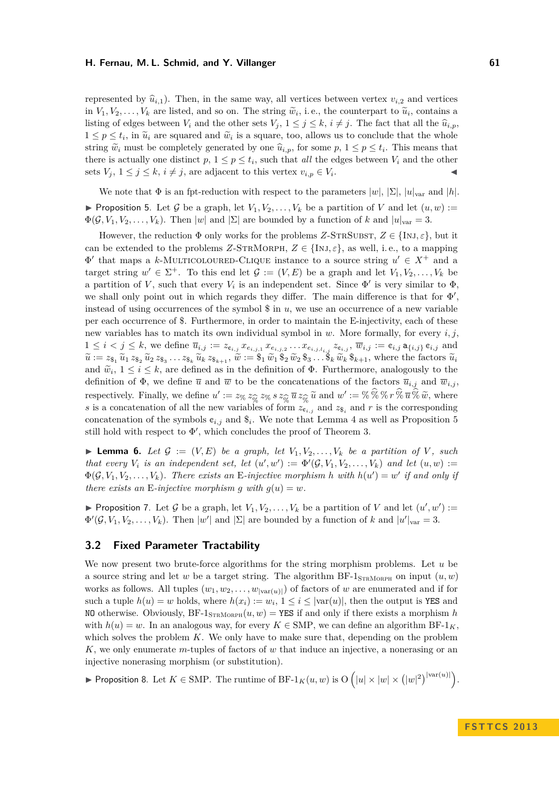represented by  $\hat{u}_{i,1}$ ). Then, in the same way, all vertices between vertex  $v_{i,2}$  and vertices in  $V_1, V_2, \ldots, V_k$  are listed, and so on. The string  $\tilde{w}_i$ , i.e., the counterpart to  $\tilde{u}_i$ , contains a<br>listing of adgress between  $V$  and the other asta  $V_1, 1 \leq i \leq k$ , i. (i). The fact that all the  $\hat{w}_i$ listing of edges between  $V_i$  and the other sets  $V_j$ ,  $1 \leq j \leq k$ ,  $i \neq j$ . The fact that all the  $\widehat{u}_{i,p}$ ,  $1 \leq p \leq t_i$ , in  $\tilde{u}_i$  are squared and  $\tilde{w}_i$  is a square, too, allows us to conclude that the whole string  $\widetilde{w}_i$  must be completely generated by one  $\widehat{u}_{i,p}$ , for some  $p, 1 \leq p \leq t_i$ . This means that there is actually are distinct  $p, 1 \leq p \leq t$ , and the other there is actually one distinct  $p, 1 \leq p \leq t_i$ , such that *all* the edges between  $V_i$  and the other sets  $V_j$ ,  $1 \leq j \leq k$ ,  $i \neq j$ , are adjacent to this vertex  $v_{i,p} \in V_i$ .  $\mathbf{A}$  and  $\mathbf{A}$  are the set of  $\mathbf{A}$ 

<span id="page-6-1"></span>We note that  $\Phi$  is an fpt-reduction with respect to the parameters  $|w|, |\Sigma|, |u|_{var}$  and  $|h|$ . **Proposition 5.** Let G be a graph, let  $V_1, V_2, \ldots, V_k$  be a partition of V and let  $(u, w) :=$  $\Phi(\mathcal{G}, V_1, V_2, \ldots, V_k)$ . Then |*w*| and |Σ| are bounded by a function of *k* and  $|u|_{var} = 3$ .

However, the reduction  $\Phi$  only works for the problems *Z*-STRSUBST,  $Z \in \{INJ, \varepsilon\}$ , but it can be extended to the problems *Z*-STRMORPH,  $Z \in \{\text{INJ}, \varepsilon\}$ , as well, i.e., to a mapping  $\Phi'$  that maps a *k*-MULTICOLOURED-CLIQUE instance to a source string  $u' \in X^+$  and a target string  $w' \in \Sigma^+$ . To this end let  $\mathcal{G} := (V, E)$  be a graph and let  $V_1, V_2, \ldots, V_k$  be a partition of *V*, such that every  $V_i$  is an independent set. Since  $\Phi'$  is very similar to  $\Phi$ , we shall only point out in which regards they differ. The main difference is that for  $\Phi'$ , instead of using occurrences of the symbol \$ in *u*, we use an occurrence of a new variable per each occurrence of \$. Furthermore, in order to maintain the E-injectivity, each of these new variables has to match its own individual symbol in *w*. More formally, for every *i, j*,  $1 \leq i < j \leq k$ , we define  $\overline{u}_{i,j} := z_{\mathfrak{e}_{i,j}} x_{e_{i,j,1}} x_{e_{i,j,2}} \dots x_{e_{i,j,l_{i,j}}} z_{\mathfrak{e}_{i,j}}, \overline{w}_{i,j} := \mathfrak{e}_{i,j} \mathsf{a}_{\{i,j\}} \mathfrak{e}_{i,j}$  and  $\widetilde{u} := z_{\S_1} \widetilde{u}_1 z_{\S_2} \widetilde{u}_2 z_{\S_3} \dots z_{\S_k} \widetilde{u}_k z_{\S_{k+1}}, \widetilde{w} := \S_1 \widetilde{w}_1 \S_2 \widetilde{w}_2 \S_3 \dots \widehat{S}_k \widetilde{w}_k \S_{k+1},$  where the factors  $\widetilde{u}_i$ and  $\tilde{w}_i, 1 \leq i \leq k$ , are defined as in the definition of  $\Phi$ . Furthermore, analogously to the definition of  $\Phi$ , we define  $\overline{w}$  and  $\overline{w}$  to be the conceptrations of the factors  $\overline{w}$ , and  $\overline{w}$ definition of  $\Phi$ , we define  $\overline{u}$  and  $\overline{w}$  to be the concatenations of the factors  $\overline{u}_{i,j}$  and  $\overline{w}_{i,j}$ , respectively. Finally, we define  $u' := z_{\%} z_{\widehat{\%}} z_{\%} s z_{\widehat{\%}} \overline{u} z_{\widehat{\%}} \overline{u}$  and  $w' := \%\%\%\pi \overline{\%} \overline{u} \times \overline{\%} \overline{u}$ , where <br>*s* is a concatenation of all the new variables of form  $z_{\epsilon}$ . and  $z_{\epsilon}$  and *r* i *s* is a concatenation of all the new variables of form  $z_{\mathfrak{e}_{i,j}}$  and  $z_{\mathfrak{F}_i}$  and  $r$  is the corresponding concatenation of the symbols  $\mathfrak{e}_{i,j}$  and  $\mathfrak{F}_i$ . We note that Lemma [4](#page-5-0) as well as Proposition [5](#page-6-1) still hold with respect to  $\Phi'$ , which concludes the proof of Theorem [3.](#page-4-1)

 $\blacktriangleright$  **Lemma 6.** Let  $\mathcal{G} := (V, E)$  be a graph, let  $V_1, V_2, \ldots, V_k$  be a partition of V, such *that every*  $V_i$  *is an independent set, let*  $(u', w') := \Phi'(\mathcal{G}, V_1, V_2, \ldots, V_k)$  *and let*  $(u, w) :=$  $\Phi(\mathcal{G}, V_1, V_2, \ldots, V_k)$ . There exists an E-injective morphism *h* with  $h(u') = w'$  if and only if *there exists an* E-*injective morphism g with*  $g(u) = w$ .

**Proposition 7.** Let G be a graph, let  $V_1, V_2, \ldots, V_k$  be a partition of V and let  $(u', w') :=$  $\Phi'(\mathcal{G}, V_1, V_2, \ldots, V_k)$ . Then  $|w'|$  and  $|\Sigma|$  are bounded by a function of *k* and  $|u'|_{var} = 3$ .

## <span id="page-6-0"></span>**3.2 Fixed Parameter Tractability**

We now present two brute-force algorithms for the string morphism problems. Let *u* be a source string and let *w* be a target string. The algorithm  $BF-1_{STRMORPH}$  on input  $(u, w)$ works as follows. All tuples  $(w_1, w_2, \ldots, w_{|var(u)|})$  of factors of *w* are enumerated and if for such a tuple  $h(u) = w$  holds, where  $h(x_i) := w_i$ ,  $1 \leq i \leq |\text{var}(u)|$ , then the output is **YES** and NO otherwise. Obviously,  $BF-1_{STRMORPH}(u, w) = **YES**$  if and only if there exists a morphism *h* with  $h(u) = w$ . In an analogous way, for every  $K \in \text{SMP}$ , we can define an algorithm  $BF-1_K$ , which solves the problem *K*. We only have to make sure that, depending on the problem *K*, we only enumerate *m*-tuples of factors of *w* that induce an injective, a nonerasing or an injective nonerasing morphism (or substitution).

▶ Proposition 8. Let  $K \in \text{SMP}$ . The runtime of BF-1 $_K(u, w)$  is O  $(|u| \times |w| \times (|w|^2)^{|\text{var}(u)|})$ .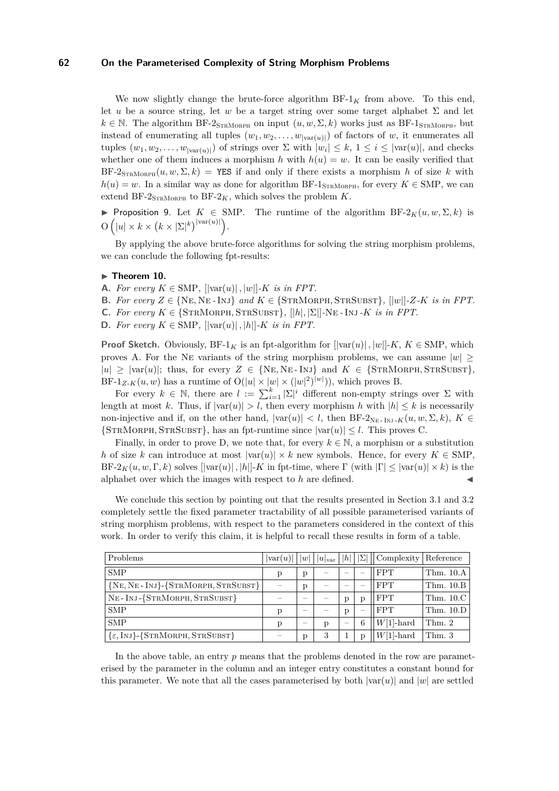We now slightly change the brute-force algorithm  $BF-1_K$  from above. To this end, let *u* be a source string, let *w* be a target string over some target alphabet  $\Sigma$  and let  $k \in \mathbb{N}$ . The algorithm BF-2<sub>STRMORPH</sub> on input  $(u, w, \Sigma, k)$  works just as BF-1<sub>STRMORPH</sub>, but instead of enumerating all tuples  $(w_1, w_2, \ldots, w_{|var(u)|})$  of factors of *w*, it enumerates all tuples  $(w_1, w_2, \ldots, w_{|\text{var}(u)|})$  of strings over  $\Sigma$  with  $|w_i| \leq k, 1 \leq i \leq |\text{var}(u)|$ , and checks whether one of them induces a morphism *h* with  $h(u) = w$ . It can be easily verified that  $BF-2_{STRMORPH}(u, w, \Sigma, k)$  = YES if and only if there exists a morphism *h* of size *k* with  $h(u) = w$ . In a similar way as done for algorithm BF-1<sub>STRMORPH</sub>, for every  $K \in$  SMP, we can extend BF-2 $_{\text{STRMORPH}}$  to BF-2 $_K$ , which solves the problem  $K$ .

<span id="page-7-1"></span>**►** Proposition 9. Let  $K \in$  SMP. The runtime of the algorithm BF-2 $_K(u, w, \Sigma, k)$  is  $\mathrm{O}\left(|u|\times k\times (k\times |\Sigma|^k)^{|var(u)|}\right).$ 

By applying the above brute-force algorithms for solving the string morphism problems, we can conclude the following fpt-results:

#### <span id="page-7-0"></span>► Theorem 10.

- **A.** *For every K* ∈ SMP*,* [|var(*u*)| *,* |*w*|]*-K is in FPT.*
- **B.** For every  $Z \in \{NE, NE INJ\}$  *and*  $K \in \{STRMORPH, STRSUBST\}$ *,*  $||w||$ - $Z-K$  *is in FPT.*
- C. *For every*  $K \in \{ \text{STRMORPH}, \text{STRSUBST} \}, \{ |h|, |\Sigma| \}$ -NE *-* Inj *-K is in FPT.*
- **D.** *For every K* ∈ SMP*,* [|var(*u*)| *,* |*h*|]*-K is in FPT.*

**Proof Sketch.** Obviously, BF-1<sub>K</sub> is an fpt-algorithm for  $[|var(u)|, |w|]$ -K,  $K \in$  SMP, which proves A. For the NE variants of the string morphism problems, we can assume  $|w|$  $|u| \geq |\text{var}(u)|$ ; thus, for every  $Z \in \{NE, NE\text{-}INJ\}$  and  $K \in \{\text{STRMORPH}, \text{STRSUBST}\},$ BF-1<sub>Z-K</sub> $(u, w)$  has a runtime of  $O(|u| \times |w| \times (|w|^2)^{|w|})$ , which proves B.

For every  $k \in \mathbb{N}$ , there are  $l := \sum_{i=1}^{k} |\Sigma|^i$  different non-empty strings over  $\Sigma$  with length at most *k*. Thus, if  $|var(u)| > l$ , then every morphism *h* with  $|h| \leq k$  is necessarily non-injective and if, on the other hand,  $|var(u)| < l$ , then BF-2<sub>NE</sub> - I<sub>NJ</sub> -*K*( $u, w, \Sigma, k$ ),  $K \in$  ${\rm \{STRMORPH, STRSUBST\}}$ , has an fpt-runtime since  $|{\rm var}(u)| \leq l$ . This proves C.

Finally, in order to prove D, we note that, for every  $k \in \mathbb{N}$ , a morphism or a substitution *h* of size *k* can introduce at most  $|\text{var}(u)| \times k$  new symbols. Hence, for every  $K \in$  SMP, BF-2<sub>K</sub> $(u, w, \Gamma, k)$  solves  $[|\text{var}(u)|, |h|]$ -*K* in fpt-time, where  $\Gamma$  (with  $|\Gamma| \leq |\text{var}(u)| \times k$ ) is the alphabet over which the images with respect to  $h$  are defined.

We conclude this section by pointing out that the results presented in Section [3.1](#page-4-2) and [3.2](#page-6-0) completely settle the fixed parameter tractability of all possible parameterised variants of string morphism problems, with respect to the parameters considered in the context of this work. In order to verify this claim, it is helpful to recall these results in form of a table.

| Problems                                            | $\vert \text{var}(u) \vert$ | w | $ u _{\text{var}}$ | h                        | $ \Sigma $ | $\vert$ Complexity   Reference |             |
|-----------------------------------------------------|-----------------------------|---|--------------------|--------------------------|------------|--------------------------------|-------------|
| <b>SMP</b>                                          | p                           | p |                    |                          |            | <b>FPT</b>                     | Thm. $10.A$ |
| ${NE, NE-INI}$ ${STRMORPH, STRSUBST}$               |                             | p |                    |                          |            | <b>FPT</b>                     | Thm. $10.B$ |
| NE-INJ-{STRMORPH, STRSUBST}                         |                             |   |                    | p                        |            | <b>FPT</b>                     | Thm. $10.C$ |
| <b>SMP</b>                                          | D                           |   |                    | p                        |            | <b>FPT</b>                     | Thm. $10.D$ |
| <b>SMP</b>                                          | D                           | _ |                    | $\overline{\phantom{a}}$ | 6          | $W[1]$ -hard                   | Thm. 2      |
| $\{\varepsilon, \text{InJ}\}$ -{STRMORPH, STRSUBST} |                             | p | 3                  |                          |            | $W[1]$ -hard                   | Thm. 3      |

In the above table, an entry *p* means that the problems denoted in the row are parameterised by the parameter in the column and an integer entry constitutes a constant bound for this parameter. We note that all the cases parameterised by both  $|var(u)|$  and  $|w|$  are settled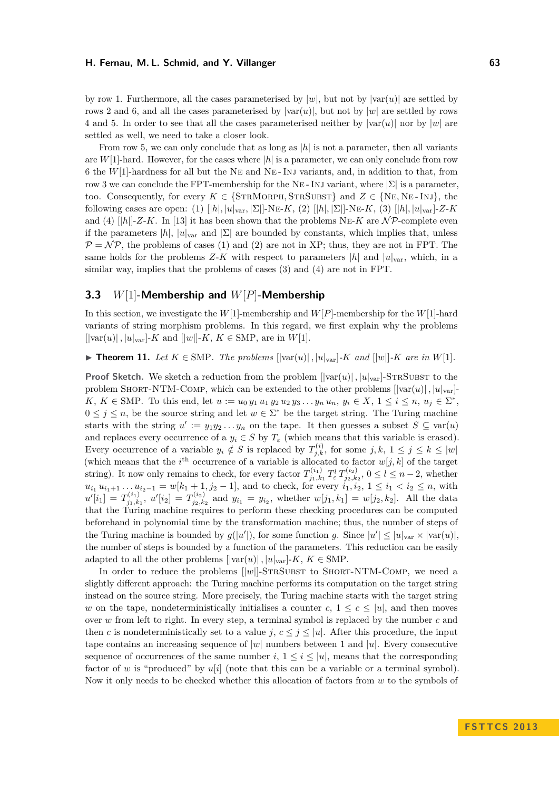by row 1. Furthermore, all the cases parameterised by  $|w|$ , but not by  $|var(u)|$  are settled by rows 2 and 6, and all the cases parameterised by  $|var(u)|$ , but not by  $|w|$  are settled by rows 4 and 5. In order to see that all the cases parameterised neither by  $|var(u)|$  nor by  $|w|$  are settled as well, we need to take a closer look.

From row 5, we can only conclude that as long as  $|h|$  is not a parameter, then all variants are  $W[1]$ -hard. However, for the cases where  $|h|$  is a parameter, we can only conclude from row 6 the *W*[1]-hardness for all but the Ne and Ne - Inj variants, and, in addition to that, from row 3 we can conclude the FPT-membership for the NE-INJ variant, where  $|\Sigma|$  is a parameter. too. Consequently, for every  $K \in \{STRMORPH, STRSUBST\}$  and  $Z \in \{NE, NE-INI\}$ , the following cases are open: (1)  $[|h|, |u|_{\text{var}}, |\Sigma|]$ -Ne-*K*, (2)  $[|h|, |\Sigma|]$ -Ne-*K*, (3)  $[|h|, |u|_{\text{var}}]$ -*Z-K* and (4)  $[|h|]$ -*Z*-*K*. In [\[13\]](#page-11-7) it has been shown that the problems NE-*K* are  $N\mathcal{P}$ -complete even if the parameters  $|h|, |u|_{\text{var}}$  and  $|\Sigma|$  are bounded by constants, which implies that, unless  $\mathcal{P} = \mathcal{NP}$ , the problems of cases (1) and (2) are not in XP; thus, they are not in FPT. The same holds for the problems *Z*-*K* with respect to parameters  $|h|$  and  $|u|_{\text{var}}$ , which, in a similar way, implies that the problems of cases (3) and (4) are not in FPT.

## **3.3** *W*[1]**-Membership and** *W*[*P*]**-Membership**

In this section, we investigate the  $W[1]$ -membership and  $W[P]$ -membership for the  $W[1]$ -hard variants of string morphism problems. In this regard, we first explain why the problems  $[|\text{var}(u)|, |u|_{\text{var}}]$ -*K* and  $[|w|]$ -*K*, *K*  $\in$  SMP, are in *W*[1].

<span id="page-8-0"></span>▶ **Theorem 11.** Let  $K \in \text{SMP}$ . The problems  $\text{||var}(u)|$ ,  $|u|_{var}$  *K* and  $\text{||w||}$ -*K* are in  $W[1]$ .

**Proof Sketch.** We sketch a reduction from the problem  $[|var(u)|, |u|_{var}]$ -STRSUBST to the problem SHORT-NTM-COMP, which can be extended to the other problems  $[|var(u)|, |u|_{var}].$  $K, K \in \text{SMP.}$  To this end, let  $u := u_0 y_1 u_1 y_2 u_2 y_3 \dots y_n u_n, y_i \in X, 1 \le i \le n, u_j \in \Sigma^*$  $0 \leq j \leq n$ , be the source string and let  $w \in \Sigma^*$  be the target string. The Turing machine starts with the string  $u' := y_1 y_2 ... y_n$  on the tape. It then guesses a subset  $S \subseteq \text{var}(u)$ and replaces every occurrence of a  $y_i \in S$  by  $T_\varepsilon$  (which means that this variable is erased). Every occurrence of a variable  $y_i \notin S$  is replaced by  $T_{j,k}^{(i)}$ , for some  $j, k, 1 \leq j \leq k \leq |w|$ (which means that the  $i^{\text{th}}$  occurrence of a variable is allocated to factor  $w[j, k]$  of the target string). It now only remains to check, for every factor  $T_{i_1,k}^{(i_1)}$ *j*1*,k*<sup>1</sup> *T l <sup>ε</sup> T* (*i*2)  $j_{2,k_2}^{(i_2)}$ ,  $0 \le l \le n-2$ , whether  $u_{i_1} u_{i_1+1} \ldots u_{i_2-1} = w[k_1+1, j_2-1]$ , and to check, for every  $i_1, i_2, 1 \le i_1 < i_2 \le n$ , with  $u'[i_1] = T^{(i_1)}_{i_1,k}$  $\sigma^{(i_1)}_{j_1,k_1}, \; u'[i_2] \, = \, T^{(i_2)}_{j_2,k}$  $y_{i_1}^{(i_2)}$  and  $y_{i_1} = y_{i_2}$ , whether  $w[j_1, k_1] = w[j_2, k_2]$ . All the data that the Turing machine requires to perform these checking procedures can be computed beforehand in polynomial time by the transformation machine; thus, the number of steps of the Turing machine is bounded by  $g(|u'|)$ , for some function *g*. Since  $|u'| \leq |u|_{var} \times |var(u)|$ , the number of steps is bounded by a function of the parameters. This reduction can be easily adapted to all the other problems  $[|\text{var}(u)|, |u|_{\text{var}}]$ -*K*,  $K \in$  SMP.

In order to reduce the problems  $[|w|]$ -STRSUBST to SHORT-NTM-COMP, we need a slightly different approach: the Turing machine performs its computation on the target string instead on the source string. More precisely, the Turing machine starts with the target string *w* on the tape, nondeterministically initialises a counter  $c, 1 \leq c \leq |u|$ , and then moves over *w* from left to right. In every step, a terminal symbol is replaced by the number *c* and then *c* is nondeterministically set to a value *j*,  $c \leq j \leq |u|$ . After this procedure, the input tape contains an increasing sequence of |*w*| numbers between 1 and |*u*|. Every consecutive sequence of occurrences of the same number  $i, 1 \leq i \leq |u|$ , means that the corresponding factor of *w* is "produced" by *u*[*i*] (note that this can be a variable or a terminal symbol). Now it only needs to be checked whether this allocation of factors from *w* to the symbols of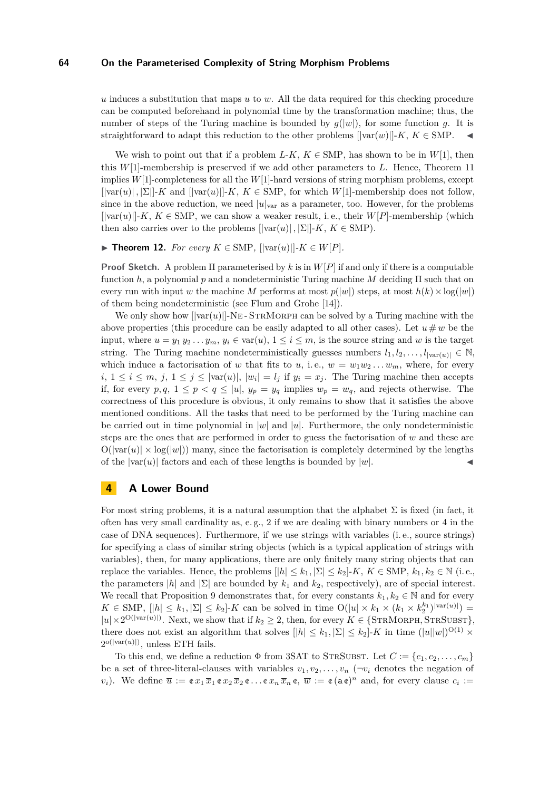*u* induces a substitution that maps *u* to *w*. All the data required for this checking procedure can be computed beforehand in polynomial time by the transformation machine; thus, the number of steps of the Turing machine is bounded by  $q(|w|)$ , for some function q. It is straightforward to adapt this reduction to the other problems  $[|var(w)|-K, K \in SMP$ .

We wish to point out that if a problem  $L-K$ ,  $K \in$  SMP, has shown to be in  $W[1]$ , then this *W*[1]-membership is preserved if we add other parameters to *L*. Hence, Theorem [11](#page-8-0) implies *W*[1]-completeness for all the *W*[1]-hard versions of string morphism problems, except  $[|\varphi(x)|, |\Sigma|]$ -*K* and  $[|\varphi(x)|]$ -*K*,  $K \in$  SMP, for which *W*[1]-membership does not follow, since in the above reduction, we need  $|u|_{var}$  as a parameter, too. However, for the problems  $[|\text{var}(u)|-K, K \in \text{SMP},$  we can show a weaker result, i.e., their  $W[P]$ -membership (which then also carries over to the problems  $[|\text{var}(u)|, |\Sigma|]$ -K,  $K \in$  SMP).

#### ▶ **Theorem 12.** *For every*  $K \in$  SMP,  $[|\text{var}(u)|]$ - $K \in W[P]$ *.*

**Proof Sketch.** A problem Π parameterised by *k* is in *W*[*P*] if and only if there is a computable function *h*, a polynomial *p* and a nondeterministic Turing machine *M* deciding Π such that on every run with input *w* the machine *M* performs at most  $p(|w|)$  steps, at most  $h(k) \times \log(|w|)$ of them being nondeterministic (see Flum and Grohe [\[14\]](#page-11-15)).

We only show how  $[|\text{var}(u)|]$ -NE-STRMORPH can be solved by a Turing machine with the above properties (this procedure can be easily adapted to all other cases). Let  $u \# w$  be the input, where  $u = y_1 y_2 \ldots y_m$ ,  $y_i \in \text{var}(u)$ ,  $1 \leq i \leq m$ , is the source string and *w* is the target string. The Turing machine nondeterministically guesses numbers  $l_1, l_2, \ldots, l_{|\text{var}(u)|} \in \mathbb{N}$ , which induce a factorisation of *w* that fits to *u*, i.e.,  $w = w_1 w_2 ... w_m$ , where, for every  $i, 1 \leq i \leq m, j, 1 \leq j \leq |\text{var}(u)|, |w_i| = l_j$  if  $y_i = x_j$ . The Turing machine then accepts if, for every  $p, q, 1 \leq p < q \leq |u|, y_p = y_q$  implies  $w_p = w_q$ , and rejects otherwise. The correctness of this procedure is obvious, it only remains to show that it satisfies the above mentioned conditions. All the tasks that need to be performed by the Turing machine can be carried out in time polynomial in  $|w|$  and  $|u|$ . Furthermore, the only nondeterministic steps are the ones that are performed in order to guess the factorisation of *w* and these are  $O(|var(u)| \times log(|w|))$  many, since the factorisation is completely determined by the lengths of the  $|var(u)|$  factors and each of these lengths is bounded by  $|w|$ .

## <span id="page-9-0"></span>**4 A Lower Bound**

For most string problems, it is a natural assumption that the alphabet  $\Sigma$  is fixed (in fact, it often has very small cardinality as, e.g., 2 if we are dealing with binary numbers or  $4$  in the case of DNA sequences). Furthermore, if we use strings with variables (i. e., source strings) for specifying a class of similar string objects (which is a typical application of strings with variables), then, for many applications, there are only finitely many string objects that can replace the variables. Hence, the problems  $|h| \leq k_1, |\Sigma| \leq k_2$  |-K,  $K \in$  SMP,  $k_1, k_2 \in \mathbb{N}$  (i.e., the parameters  $|h|$  and  $|\Sigma|$  are bounded by  $k_1$  and  $k_2$ , respectively), are of special interest. We recall that Proposition [9](#page-7-1) demonstrates that, for every constants  $k_1, k_2 \in \mathbb{N}$  and for every  $K \in \text{SMP}, \, [h] \leq k_1, |\Sigma| \leq k_2$ . K can be solved in time  $O(|u| \times k_1 \times (k_1 \times k_2^{k_1})^{|var(u)|}) =$  $|u| \times 2^{\mathcal{O}(|\text{var}(u)|)}$ . Next, we show that if  $k_2 \geq 2$ , then, for every  $K \in \{\text{STRMORPH}, \text{STRSUBST}\},\$ there does not exist an algorithm that solves  $[|h| \leq k_1, |\Sigma| \leq k_2]$ -K in time  $(|u||w|)^{O(1)} \times$  $2^{\mathrm{o}(|\mathrm{var}(u)|)}$ , unless ETH fails.

To this end, we define a reduction  $\Phi$  from 3SAT to STRSUBST. Let  $C := \{c_1, c_2, \ldots, c_m\}$ be a set of three-literal-clauses with variables  $v_1, v_2, \ldots, v_n$  ( $\neg v_i$  denotes the negation of *v*<sub>*i*</sub>). We define  $\overline{u} := \mathfrak{c} x_1 \overline{x}_1 \mathfrak{c} x_2 \overline{x}_2 \mathfrak{c} \ldots \mathfrak{c} x_n \overline{x}_n \mathfrak{c}, \ \overline{w} := \mathfrak{c} (\mathfrak{a} \mathfrak{c})^n$  and, for every clause  $c_i :=$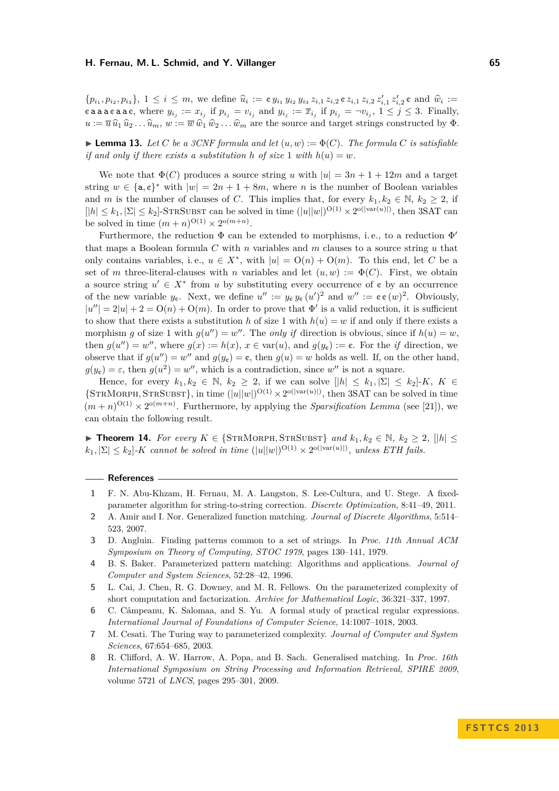$\{p_{i_1}, p_{i_2}, p_{i_3}\}, 1 \leq i \leq m$ , we define  $\hat{u}_i := \mathfrak{e} y_{i_1} y_{i_2} y_{i_3} z_{i,1} z_{i,2} \mathfrak{e} z_{i,1} z_{i,2} z'_{i,1} z'_{i,2} \mathfrak{e}$  and  $\hat{w}_i :=$ caaacaac, where  $y_{i_j} := x_{i_j}$  if  $p_{i_j} = v_{i_j}$  and  $y_{i_j} := \overline{x}_{i_j}$  if  $p_{i_j} = \neg v_{i_j}$ ,  $1 \leq j \leq 3$ . Finally,  $u := \overline{u} \hat{u}_1 \hat{u}_2 \dots \hat{u}_m$ ,  $w := \overline{w} \hat{w}_1 \hat{w}_2 \dots \hat{w}_m$  are the source and target strings constructed by  $\Phi$ .

 $\blacktriangleright$  **Lemma 13.** Let C be a 3CNF formula and let  $(u, w) := \Phi(C)$ . The formula C is satisfiable *if and only if there exists a substitution h of size* 1 *with*  $h(u) = w$ .

We note that  $\Phi(C)$  produces a source string *u* with  $|u| = 3n + 1 + 12m$  and a target string  $w \in {\mathbf{a}, \mathbf{c}}^*$  with  $|w| = 2n + 1 + 8m$ , where *n* is the number of Boolean variables and *m* is the number of clauses of *C*. This implies that, for every  $k_1, k_2 \in \mathbb{N}, k_2 \geq 2$ , if  $[|h| \leq k_1, |\Sigma| \leq k_2]$ -STRSUBST can be solved in time  $(|u||w|)^{O(1)} \times 2^{O(|var(u)|)}$ , then 3SAT can be solved in time  $(m+n)^{O(1)} \times 2^{O(m+n)}$ .

Furthermore, the reduction  $\Phi$  can be extended to morphisms, i.e., to a reduction  $\Phi'$ that maps a Boolean formula *C* with *n* variables and *m* clauses to a source string *u* that only contains variables, i.e.,  $u \in X^*$ , with  $|u| = O(n) + O(m)$ . To this end, let *C* be a set of *m* three-literal-clauses with *n* variables and let  $(u, w) := \Phi(C)$ . First, we obtain a source string  $u' \in X^*$  from *u* by substituting every occurrence of  $\mathfrak{e}$  by an occurrence of the new variable  $y_{\mathfrak{e}}$ . Next, we define  $u'' := y_{\mathfrak{e}} y_{\mathfrak{e}} (u')^2$  and  $w'' := \mathfrak{e} \mathfrak{e} (w)^2$ . Obviously,  $|u''| = 2|u| + 2 = O(n) + O(m)$ . In order to prove that  $\Phi'$  is a valid reduction, it is sufficient to show that there exists a substitution *h* of size 1 with  $h(u) = w$  if and only if there exists a morphism *g* of size 1 with  $g(u'') = w''$ . The *only if* direction is obvious, since if  $h(u) = w$ , then  $g(u'') = w''$ , where  $g(x) := h(x)$ ,  $x \in \text{var}(u)$ , and  $g(y_e) := \mathfrak{e}$ . For the *if* direction, we observe that if  $g(u'') = w''$  and  $g(y_e) = e$ , then  $g(u) = w$  holds as well. If, on the other hand,  $g(y_c) = \varepsilon$ , then  $g(u^2) = w''$ , which is a contradiction, since w'' is not a square.

Hence, for every  $k_1, k_2 \in \mathbb{N}$ ,  $k_2 \geq 2$ , if we can solve  $\vert \vert h \vert \leq k_1, \vert \Sigma \vert \leq k_2 \vert K$ ,  $K \in$  $\{STRMORPH, STRSUBST\}$ , in time  $(|u||w|)^{O(1)} \times 2^{O(|var(u)|)}$ , then 3SAT can be solved in time  $(m+n)^{O(1)} \times 2^{O(m+n)}$ . Furthermore, by applying the *Sparsification Lemma* (see [\[21\]](#page-11-18)), we can obtain the following result.

 $\triangleright$  **Theorem 14.** For every  $K \in \{ \text{STRMORPH}, \text{STRSUBST} \}$  and  $k_1, k_2 \in \mathbb{N}, k_2 \geq 2, \text{ } ||h|| \leq$  $k_1$ ,  $|\Sigma| \leq k_2$ ]-*K cannot be solved in time*  $(|u||w|)^{O(1)} \times 2^{o(|var(u)|)}$ , *unless ETH fails.* 

#### **References**

- <span id="page-10-0"></span>**1** F. N. Abu-Khzam, H. Fernau, M. A. Langston, S. Lee-Cultura, and U. Stege. A fixedparameter algorithm for string-to-string correction. *Discrete Optimization*, 8:41–49, 2011.
- <span id="page-10-2"></span>**2** A. Amir and I. Nor. Generalized function matching. *Journal of Discrete Algorithms*, 5:514– 523, 2007.
- <span id="page-10-1"></span>**3** D. Angluin. Finding patterns common to a set of strings. In *Proc. 11th Annual ACM Symposium on Theory of Computing, STOC 1979*, pages 130–141, 1979.
- <span id="page-10-3"></span>**4** B. S. Baker. Parameterized pattern matching: Algorithms and applications. *Journal of Computer and System Sciences*, 52:28–42, 1996.
- <span id="page-10-6"></span>**5** L. Cai, J. Chen, R. G. Downey, and M. R. Fellows. On the parameterized complexity of short computation and factorization. *Archive for Mathematical Logic*, 36:321–337, 1997.
- <span id="page-10-5"></span>**6** C. Câmpeanu, K. Salomaa, and S. Yu. A formal study of practical regular expressions. *International Journal of Foundations of Computer Science*, 14:1007–1018, 2003.
- <span id="page-10-7"></span>**7** M. Cesati. The Turing way to parameterized complexity. *Journal of Computer and System Sciences*, 67:654–685, 2003.
- <span id="page-10-4"></span>**8** R. Clifford, A. W. Harrow, A. Popa, and B. Sach. Generalised matching. In *Proc. 16th International Symposium on String Processing and Information Retrieval, SPIRE 2009*, volume 5721 of *LNCS*, pages 295–301, 2009.